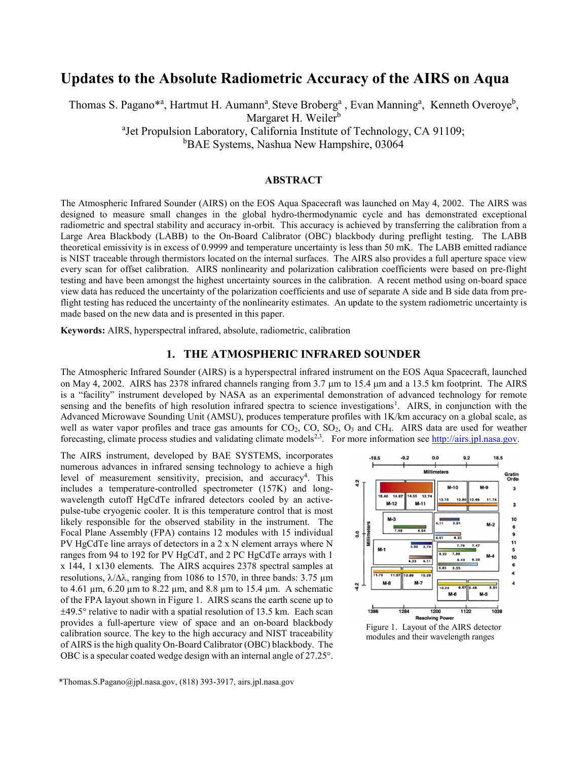# Updates to the Absolute Radiometric Accuracy of the AIRS on Aqua

Thomas S. Pagano<sup>\*a</sup>, Hartmut H. Aumann<sup>a</sup>, Steve Broberg<sup>a</sup>, Evan Manning<sup>a</sup>, Kenneth Overoye<sup>b</sup>, Margaret H. Weiler<sup>b</sup> <sup>a</sup>Jet Propulsion Laboratory, California Institute of Technology, CA 91109;

**bBAE Systems, Nashua New Hampshire, 03064** 

#### ABSTRACT

The Atmospheric Infrared Sounder (AIRS) on the EOS Aqua Spacecraft was launched on May 4, 2002. The AIRS was designed to measure small changes in the global hydro-thermodynamic cycle and has demonstrated exceptional radiometric and spectral stability and accuracy in-orbit. This accuracy is achieved by transferring the calibration from a Large Area Blackbody (LABB) to the On-Board Calibrator (OBC) blackbody during preflight testing. The LABB theoretical emissivity is in excess of 0.9999 and temperature uncertainty is less than 50 mK. The LABB emitted radiance is NIST traceable through thermistors located on the internal surfaces. The AIRS also provides a full aperture space view every scan for offset calibration. AIRS nonlinearity and polarization calibration coefficients were based on pre-flight testing and have been amongst the highest uncertainty sources in the calibration. A recent method using on-board space view data has reduced the uncertainty of the polarization coefficients and use of separate A side and B side data from preflight testing has reduced the uncertainty of the nonlinearity estimates. An update to the system radiometric uncertainty is made based on the new data and is presented in this paper.

Keywords: AIRS, hyperspectral infrared, absolute, radiometric, calibration

# 1. THE ATMOSPHERIC INFRARED SOUNDER

The Atmospheric Infrared Sounder (AIRS) is a hyperspectral infrared instrument on the EOS Aqua Spacecraft, launched on May 4, 2002. AIRS has 2378 infrared channels ranging from 3.7  $\mu$ m to 15.4  $\mu$ m and a 13.5 km footprint. The AIRS is a "facility" instrument developed by NASA as an experimental demonstration of advanced technology for remote sensing and the benefits of high resolution infrared spectra to science investigations<sup>1</sup>. AIRS, in conjunction with the Advanced Microwave Sounding Unit (AMSU), produces temperature profiles with 1K/km accuracy on a global scale, as well as water vapor profiles and trace gas amounts for  $CO_2$ ,  $CO$ ,  $SO_2$ ,  $O_3$  and  $CH_4$ . AIRS data are used for weather forecasting, climate process studies and validating climate models<sup>2,3</sup>. For more information see http://airs.jpl.nasa.gov.

The AIRS instrument, developed by BAE SYSTEMS, incorporates numerous advances in infrared sensing technology to achieve a high level of measurement sensitivity, precision, and accuracy<sup>4</sup>. This includes a temperature-controlled spectrometer (157K) and longwavelength cutoff HgCdTe infrared detectors cooled by an activepulse-tube cryogenic cooler. It is this temperature control that is most likely responsible for the observed stability in the instrument. The Focal Plane Assembly (FPA) contains 12 modules with 15 individual PV HgCdTe line arrays of detectors in a 2 x N element arrays where N ranges from 94 to 192 for PV HgCdT, and 2 PC HgCdTe arrays with 1 x 144, 1 x130 elements. The AIRS acquires 2378 spectral samples at resolutions,  $\lambda/\Delta\lambda$ , ranging from 1086 to 1570, in three bands: 3.75 µm to 4.61  $\mu$ m, 6.20  $\mu$ m to 8.22  $\mu$ m, and 8.8  $\mu$ m to 15.4  $\mu$ m. A schematic of the FPA layout shown in Figure 1. AIRS scans the earth scene up to  $\pm$ 49.5° relative to nadir with a spatial resolution of 13.5 km. Each scan provides a full-aperture view of space and an on-board blackbody calibration source. The key to the high accuracy and NIST traceability of AIRS is the high quality On-Board Calibrator (OBC) blackbody. The OBC is a specular coated wedge design with an internal angle of 27.25°.



modules and their wavelength ranges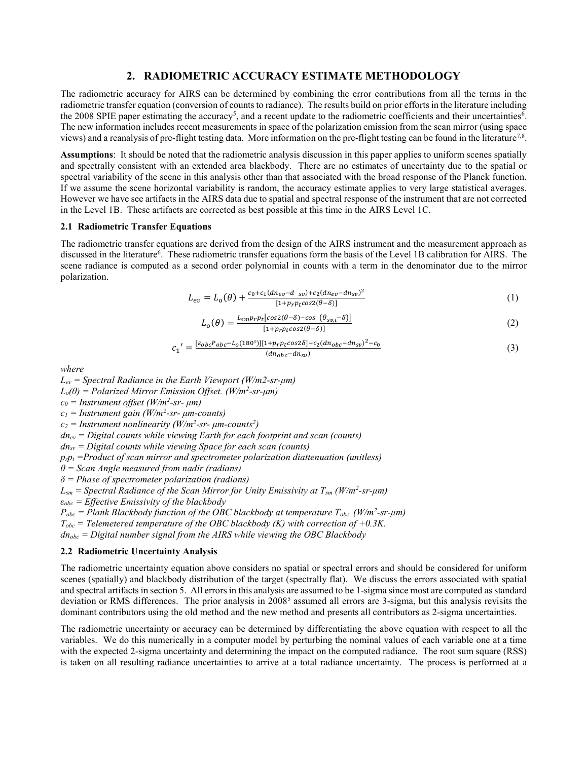# 2. RADIOMETRIC ACCURACY ESTIMATE METHODOLOGY

The radiometric accuracy for AIRS can be determined by combining the error contributions from all the terms in the radiometric transfer equation (conversion of counts to radiance). The results build on prior efforts in the literature including the 2008 SPIE paper estimating the accuracy<sup>5</sup>, and a recent update to the radiometric coefficients and their uncertainties<sup>6</sup>. The new information includes recent measurements in space of the polarization emission from the scan mirror (using space views) and a reanalysis of pre-flight testing data. More information on the pre-flight testing can be found in the literature<sup>7,8</sup>.

Assumptions: It should be noted that the radiometric analysis discussion in this paper applies to uniform scenes spatially and spectrally consistent with an extended area blackbody. There are no estimates of uncertainty due to the spatial or spectral variability of the scene in this analysis other than that associated with the broad response of the Planck function. If we assume the scene horizontal variability is random, the accuracy estimate applies to very large statistical averages. However we have see artifacts in the AIRS data due to spatial and spectral response of the instrument that are not corrected in the Level 1B. These artifacts are corrected as best possible at this time in the AIRS Level 1C.

#### 2.1 Radiometric Transfer Equations

The radiometric transfer equations are derived from the design of the AIRS instrument and the measurement approach as discussed in the literature<sup>6</sup>. These radiometric transfer equations form the basis of the Level 1B calibration for AIRS. The scene radiance is computed as a second order polynomial in counts with a term in the denominator due to the mirror polarization.

$$
L_{ev} = L_o(\theta) + \frac{c_0 + c_1 (dn_{ev} - d_{sv}) + c_2 (dn_{ev} - dn_{sv})^2}{[1 + p_r p_t cos2(\theta - \delta)]}
$$
 (1)

$$
L_o(\theta) = \frac{L_{smp} p_t [cos2(\theta - \delta) - cos(\theta_{s\nu,i} - \delta)]}{[1 + p_r p_t cos2(\theta - \delta)]}
$$
\n(2)

$$
I = \frac{[\varepsilon_{obc}P_{obc} - L_o(180^\circ)][1 + p_r p_t \cos 2\delta] - c_2 (dn_{obc} - dn_{sp})^2 - c_0}{(dn_{obc} - dn_{sp})}
$$
(3)

where

 $L_{ev}$  = Spectral Radiance in the Earth Viewport (W/m2-sr-µm)  $L_o(\theta)$  = Polarized Mirror Emission Offset. (W/m<sup>2</sup>-sr- $\mu$ m)  $c_0$  = Instrument offset (W/m<sup>2</sup>-sr-  $\mu$ m)  $c_1$  = Instrument gain (W/m<sup>2</sup>-sr-  $\mu$ m-counts)

 $c_2$  = Instrument nonlinearity (W/m<sup>2</sup>-sr-  $\mu$ m-counts<sup>2</sup>)

 $dn_{ev} = Digital$  counts while viewing Earth for each footprint and scan (counts)

 $dn_{sv}$  = Digital counts while viewing Space for each scan (counts)

 $c<sub>1</sub>$ 

 $p_r p_t$  =Product of scan mirror and spectrometer polarization diattenuation (unitless)

 $\theta$  = Scan Angle measured from nadir (radians)

 $\delta$  = Phase of spectrometer polarization (radians)

 $L_{\text{sm}}$  = Spectral Radiance of the Scan Mirror for Unity Emissivity at  $T_{\text{sm}}$  (W/m<sup>2</sup>-sr-µm)

 $\varepsilon_{obc}$  = Effective Emissivity of the blackbody

 $P_{obc}$  = Plank Blackbody function of the OBC blackbody at temperature  $T_{obc}$  (W/m<sup>2</sup>-sr- $\mu$ m)

 $T_{obc}$  = Telemetered temperature of the OBC blackbody (K) with correction of +0.3K.

 $dn_{abc}$  = Digital number signal from the AIRS while viewing the OBC Blackbody

#### 2.2 Radiometric Uncertainty Analysis

The radiometric uncertainty equation above considers no spatial or spectral errors and should be considered for uniform scenes (spatially) and blackbody distribution of the target (spectrally flat). We discuss the errors associated with spatial and spectral artifacts in section 5. All errors in this analysis are assumed to be 1-sigma since most are computed as standard deviation or RMS differences. The prior analysis in  $2008<sup>5</sup>$  assumed all errors are 3-sigma, but this analysis revisits the dominant contributors using the old method and the new method and presents all contributors as 2-sigma uncertainties.

The radiometric uncertainty or accuracy can be determined by differentiating the above equation with respect to all the variables. We do this numerically in a computer model by perturbing the nominal values of each variable one at a time with the expected 2-sigma uncertainty and determining the impact on the computed radiance. The root sum square (RSS) is taken on all resulting radiance uncertainties to arrive at a total radiance uncertainty. The process is performed at a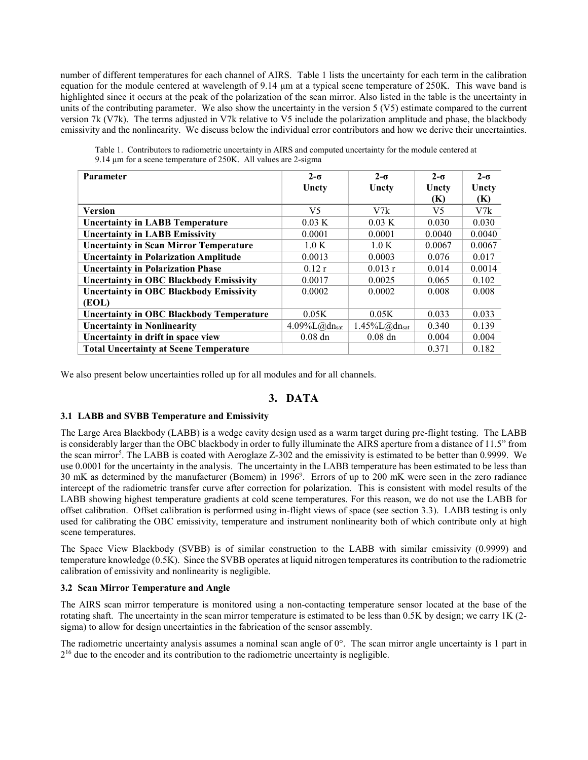number of different temperatures for each channel of AIRS. Table 1 lists the uncertainty for each term in the calibration equation for the module centered at wavelength of 9.14 μm at a typical scene temperature of 250K. This wave band is highlighted since it occurs at the peak of the polarization of the scan mirror. Also listed in the table is the uncertainty in units of the contributing parameter. We also show the uncertainty in the version  $5 (V5)$  estimate compared to the current version 7k (V7k). The terms adjusted in V7k relative to V5 include the polarization amplitude and phase, the blackbody emissivity and the nonlinearity. We discuss below the individual error contributors and how we derive their uncertainties.

| <b>Parameter</b>                                | $2-\sigma$                                        | $2-\sigma$                                        | $2-\sigma$ | $2-\sigma$ |
|-------------------------------------------------|---------------------------------------------------|---------------------------------------------------|------------|------------|
|                                                 | Uncty                                             | Uncty                                             | Uncty      | Uncty      |
|                                                 |                                                   |                                                   | (K)        | (K)        |
| <b>Version</b>                                  | V5                                                | V7k                                               | V5         | V7k        |
| <b>Uncertainty in LABB Temperature</b>          | 0.03 K                                            | 0.03 K                                            | 0.030      | 0.030      |
| <b>Uncertainty in LABB Emissivity</b>           | 0.0001                                            | 0.0001                                            | 0.0040     | 0.0040     |
| <b>Uncertainty in Scan Mirror Temperature</b>   | 1.0 K                                             | 1.0 K                                             | 0.0067     | 0.0067     |
| <b>Uncertainty in Polarization Amplitude</b>    | 0.0013                                            | 0.0003                                            | 0.076      | 0.017      |
| <b>Uncertainty in Polarization Phase</b>        | 0.12r                                             | 0.013r                                            | 0.014      | 0.0014     |
| <b>Uncertainty in OBC Blackbody Emissivity</b>  | 0.0017                                            | 0.0025                                            | 0.065      | 0.102      |
| <b>Uncertainty in OBC Blackbody Emissivity</b>  | 0.0002                                            | 0.0002                                            | 0.008      | 0.008      |
| (EOL)                                           |                                                   |                                                   |            |            |
| <b>Uncertainty in OBC Blackbody Temperature</b> | 0.05K                                             | 0.05K                                             | 0.033      | 0.033      |
| <b>Uncertainty in Nonlinearity</b>              | $4.09\%$ L $(\partial_{\alpha}$ dn <sub>sat</sub> | $1.45\%$ L $(\partial_{\alpha}$ dn <sub>sat</sub> | 0.340      | 0.139      |
| Uncertainty in drift in space view              | $0.08$ dn                                         | $0.08$ dn                                         | 0.004      | 0.004      |
| <b>Total Uncertainty at Scene Temperature</b>   |                                                   |                                                   | 0.371      | 0.182      |

Table 1. Contributors to radiometric uncertainty in AIRS and computed uncertainty for the module centered at 9.14 μm for a scene temperature of 250K. All values are 2-sigma

We also present below uncertainties rolled up for all modules and for all channels.

# 3. DATA

#### 3.1 LABB and SVBB Temperature and Emissivity

The Large Area Blackbody (LABB) is a wedge cavity design used as a warm target during pre-flight testing. The LABB is considerably larger than the OBC blackbody in order to fully illuminate the AIRS aperture from a distance of 11.5" from the scan mirror<sup>5</sup>. The LABB is coated with Aeroglaze Z-302 and the emissivity is estimated to be better than 0.9999. We use 0.0001 for the uncertainty in the analysis. The uncertainty in the LABB temperature has been estimated to be less than 30 mK as determined by the manufacturer (Bomem) in 1996<sup>9</sup> . Errors of up to 200 mK were seen in the zero radiance intercept of the radiometric transfer curve after correction for polarization. This is consistent with model results of the LABB showing highest temperature gradients at cold scene temperatures. For this reason, we do not use the LABB for offset calibration. Offset calibration is performed using in-flight views of space (see section 3.3). LABB testing is only used for calibrating the OBC emissivity, temperature and instrument nonlinearity both of which contribute only at high scene temperatures.

The Space View Blackbody (SVBB) is of similar construction to the LABB with similar emissivity (0.9999) and temperature knowledge (0.5K). Since the SVBB operates at liquid nitrogen temperatures its contribution to the radiometric calibration of emissivity and nonlinearity is negligible.

#### 3.2 Scan Mirror Temperature and Angle

The AIRS scan mirror temperature is monitored using a non-contacting temperature sensor located at the base of the rotating shaft. The uncertainty in the scan mirror temperature is estimated to be less than 0.5K by design; we carry 1K (2 sigma) to allow for design uncertainties in the fabrication of the sensor assembly.

The radiometric uncertainty analysis assumes a nominal scan angle of 0°. The scan mirror angle uncertainty is 1 part in  $2^{16}$  due to the encoder and its contribution to the radiometric uncertainty is negligible.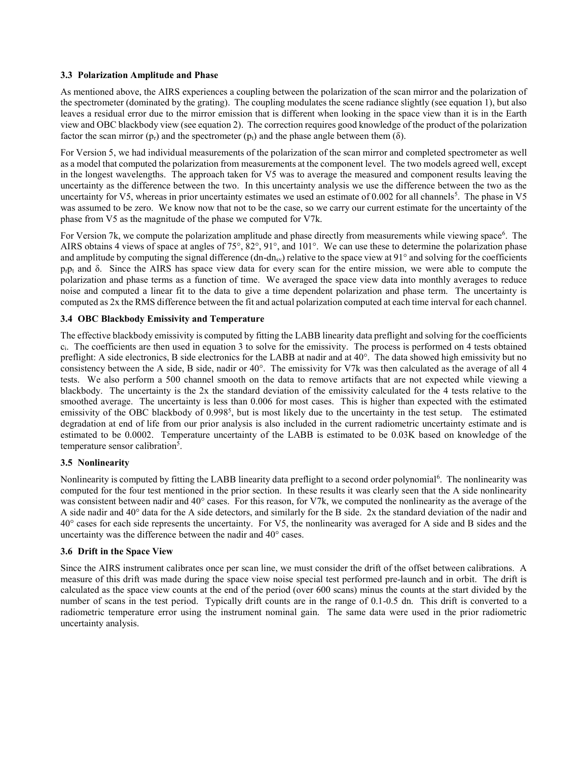#### 3.3 Polarization Amplitude and Phase

As mentioned above, the AIRS experiences a coupling between the polarization of the scan mirror and the polarization of the spectrometer (dominated by the grating). The coupling modulates the scene radiance slightly (see equation 1), but also leaves a residual error due to the mirror emission that is different when looking in the space view than it is in the Earth view and OBC blackbody view (see equation 2). The correction requires good knowledge of the product of the polarization factor the scan mirror  $(p_r)$  and the spectrometer  $(p_t)$  and the phase angle between them  $(\delta)$ .

For Version 5, we had individual measurements of the polarization of the scan mirror and completed spectrometer as well as a model that computed the polarization from measurements at the component level. The two models agreed well, except in the longest wavelengths. The approach taken for V5 was to average the measured and component results leaving the uncertainty as the difference between the two. In this uncertainty analysis we use the difference between the two as the uncertainty for V5, whereas in prior uncertainty estimates we used an estimate of 0.002 for all channels<sup>5</sup>. The phase in V5 was assumed to be zero. We know now that not to be the case, so we carry our current estimate for the uncertainty of the phase from V5 as the magnitude of the phase we computed for V7k.

For Version 7k, we compute the polarization amplitude and phase directly from measurements while viewing space<sup>6</sup>. The AIRS obtains 4 views of space at angles of 75°, 82°, 91°, and 101°. We can use these to determine the polarization phase and amplitude by computing the signal difference (dn-dn<sub>sv</sub>) relative to the space view at 91 $^{\circ}$  and solving for the coefficients  $p_{r}p_{t}$  and  $\delta$ . Since the AIRS has space view data for every scan for the entire mission, we were able to compute the polarization and phase terms as a function of time. We averaged the space view data into monthly averages to reduce noise and computed a linear fit to the data to give a time dependent polarization and phase term. The uncertainty is computed as 2x the RMS difference between the fit and actual polarization computed at each time interval for each channel.

#### 3.4 OBC Blackbody Emissivity and Temperature

The effective blackbody emissivity is computed by fitting the LABB linearity data preflight and solving for the coefficients ci. The coefficients are then used in equation 3 to solve for the emissivity. The process is performed on 4 tests obtained preflight: A side electronics, B side electronics for the LABB at nadir and at 40°. The data showed high emissivity but no consistency between the A side, B side, nadir or 40°. The emissivity for V7k was then calculated as the average of all 4 tests. We also perform a 500 channel smooth on the data to remove artifacts that are not expected while viewing a blackbody. The uncertainty is the 2x the standard deviation of the emissivity calculated for the 4 tests relative to the smoothed average. The uncertainty is less than 0.006 for most cases. This is higher than expected with the estimated emissivity of the OBC blackbody of 0.998<sup>5</sup>, but is most likely due to the uncertainty in the test setup. The estimated degradation at end of life from our prior analysis is also included in the current radiometric uncertainty estimate and is estimated to be 0.0002. Temperature uncertainty of the LABB is estimated to be 0.03K based on knowledge of the temperature sensor calibration<sup>5</sup>.

#### 3.5 Nonlinearity

Nonlinearity is computed by fitting the LABB linearity data preflight to a second order polynomial<sup>6</sup>. The nonlinearity was computed for the four test mentioned in the prior section. In these results it was clearly seen that the A side nonlinearity was consistent between nadir and 40° cases. For this reason, for V7k, we computed the nonlinearity as the average of the A side nadir and 40° data for the A side detectors, and similarly for the B side. 2x the standard deviation of the nadir and 40° cases for each side represents the uncertainty. For V5, the nonlinearity was averaged for A side and B sides and the uncertainty was the difference between the nadir and 40° cases.

#### 3.6 Drift in the Space View

Since the AIRS instrument calibrates once per scan line, we must consider the drift of the offset between calibrations. A measure of this drift was made during the space view noise special test performed pre-launch and in orbit. The drift is calculated as the space view counts at the end of the period (over 600 scans) minus the counts at the start divided by the number of scans in the test period. Typically drift counts are in the range of 0.1-0.5 dn. This drift is converted to a radiometric temperature error using the instrument nominal gain. The same data were used in the prior radiometric uncertainty analysis.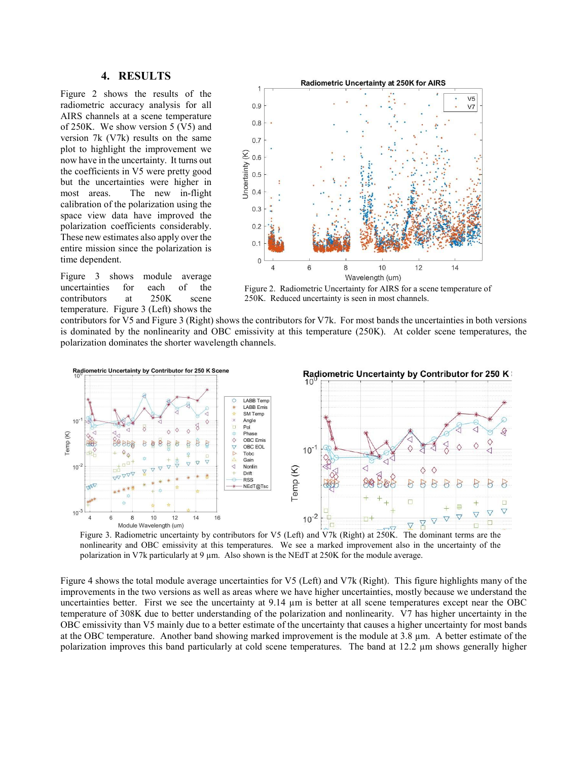### 4. RESULTS

Figure 2 shows the results of the radiometric accuracy analysis for all AIRS channels at a scene temperature of 250K. We show version 5 (V5) and version 7k (V7k) results on the same plot to highlight the improvement we now have in the uncertainty. It turns out the coefficients in V5 were pretty good but the uncertainties were higher in most areas. The new in-flight calibration of the polarization using the space view data have improved the polarization coefficients considerably. These new estimates also apply over the entire mission since the polarization is time dependent.

Figure 3 shows module average uncertainties for each of the contributors at 250K scene temperature. Figure 3 (Left) shows the



Figure 2. Radiometric Uncertainty for AIRS for a scene temperature of 250K. Reduced uncertainty is seen in most channels.

contributors for V5 and Figure 3 (Right) shows the contributors for V7k. For most bands the uncertainties in both versions is dominated by the nonlinearity and OBC emissivity at this temperature (250K). At colder scene temperatures, the polarization dominates the shorter wavelength channels.



Figure 3. Radiometric uncertainty by contributors for V5 (Left) and V7k (Right) at 250K. The dominant terms are the nonlinearity and OBC emissivity at this temperatures. We see a marked improvement also in the uncertainty of the polarization in V7k particularly at 9 µm. Also shown is the NEdT at 250K for the module average.

Figure 4 shows the total module average uncertainties for V5 (Left) and V7k (Right). This figure highlights many of the improvements in the two versions as well as areas where we have higher uncertainties, mostly because we understand the uncertainties better. First we see the uncertainty at 9.14 µm is better at all scene temperatures except near the OBC temperature of 308K due to better understanding of the polarization and nonlinearity. V7 has higher uncertainty in the OBC emissivity than V5 mainly due to a better estimate of the uncertainty that causes a higher uncertainty for most bands at the OBC temperature. Another band showing marked improvement is the module at 3.8 µm. A better estimate of the polarization improves this band particularly at cold scene temperatures. The band at 12.2 µm shows generally higher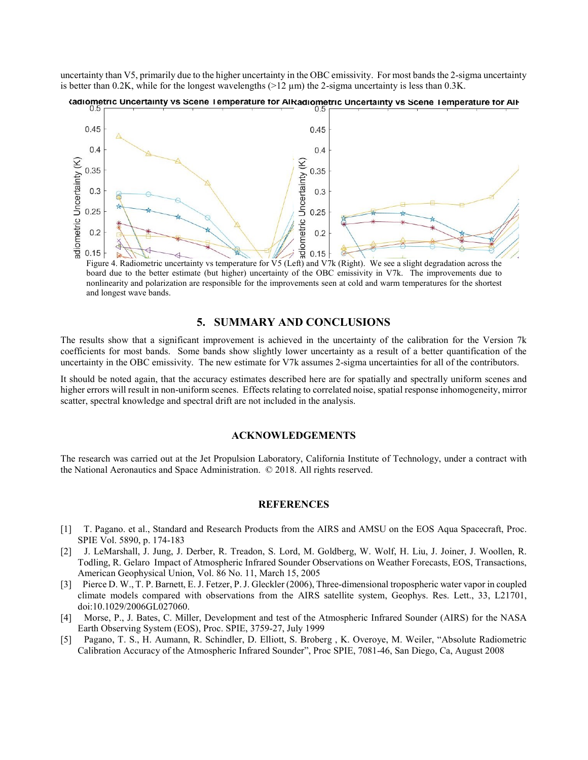uncertainty than V5, primarily due to the higher uncertainty in the OBC emissivity. For most bands the 2-sigma uncertainty is better than 0.2K, while for the longest wavelengths  $(>12 \mu m)$  the 2-sigma uncertainty is less than 0.3K.



tadiometric Uncertainty vs Scene Temperature for AIRadiometric Uncertainty vs Scene Temperature for AIF

Figure 4. Radiometric uncertainty vs temperature for V5 (Left) and V7k (Right). We see a slight degradation across the board due to the better estimate (but higher) uncertainty of the OBC emissivity in V7k. The improvements due to nonlinearity and polarization are responsible for the improvements seen at cold and warm temperatures for the shortest and longest wave bands.

#### 5. SUMMARY AND CONCLUSIONS

The results show that a significant improvement is achieved in the uncertainty of the calibration for the Version 7k coefficients for most bands. Some bands show slightly lower uncertainty as a result of a better quantification of the uncertainty in the OBC emissivity. The new estimate for V7k assumes 2-sigma uncertainties for all of the contributors.

It should be noted again, that the accuracy estimates described here are for spatially and spectrally uniform scenes and higher errors will result in non-uniform scenes. Effects relating to correlated noise, spatial response inhomogeneity, mirror scatter, spectral knowledge and spectral drift are not included in the analysis.

#### ACKNOWLEDGEMENTS

The research was carried out at the Jet Propulsion Laboratory, California Institute of Technology, under a contract with the National Aeronautics and Space Administration. © 2018. All rights reserved.

# **REFERENCES**

- [1] T. Pagano. et al., Standard and Research Products from the AIRS and AMSU on the EOS Aqua Spacecraft, Proc. SPIE Vol. 5890, p. 174-183
- [2] <sup>2</sup> J. LeMarshall, J. Jung, J. Derber, R. Treadon, S. Lord, M. Goldberg, W. Wolf, H. Liu, J. Joiner, J. Woollen, R. Todling, R. Gelaro Impact of Atmospheric Infrared Sounder Observations on Weather Forecasts, EOS, Transactions, American Geophysical Union, Vol. 86 No. 11, March 15, 2005
- [3] Pierce D. W., T. P. Barnett, E. J. Fetzer, P. J. Gleckler (2006), Three-dimensional tropospheric water vapor in coupled climate models compared with observations from the AIRS satellite system, Geophys. Res. Lett., 33, L21701, doi:10.1029/2006GL027060.
- $[4]$  Morse, P., J. Bates, C. Miller, Development and test of the Atmospheric Infrared Sounder (AIRS) for the NASA Earth Observing System (EOS), Proc. SPIE, 3759-27, July 1999
- $\lceil 5 \rceil$  Pagano, T. S., H. Aumann, R. Schindler, D. Elliott, S. Broberg , K. Overoye, M. Weiler, "Absolute Radiometric Calibration Accuracy of the Atmospheric Infrared Sounder", Proc SPIE, 7081-46, San Diego, Ca, August 2008